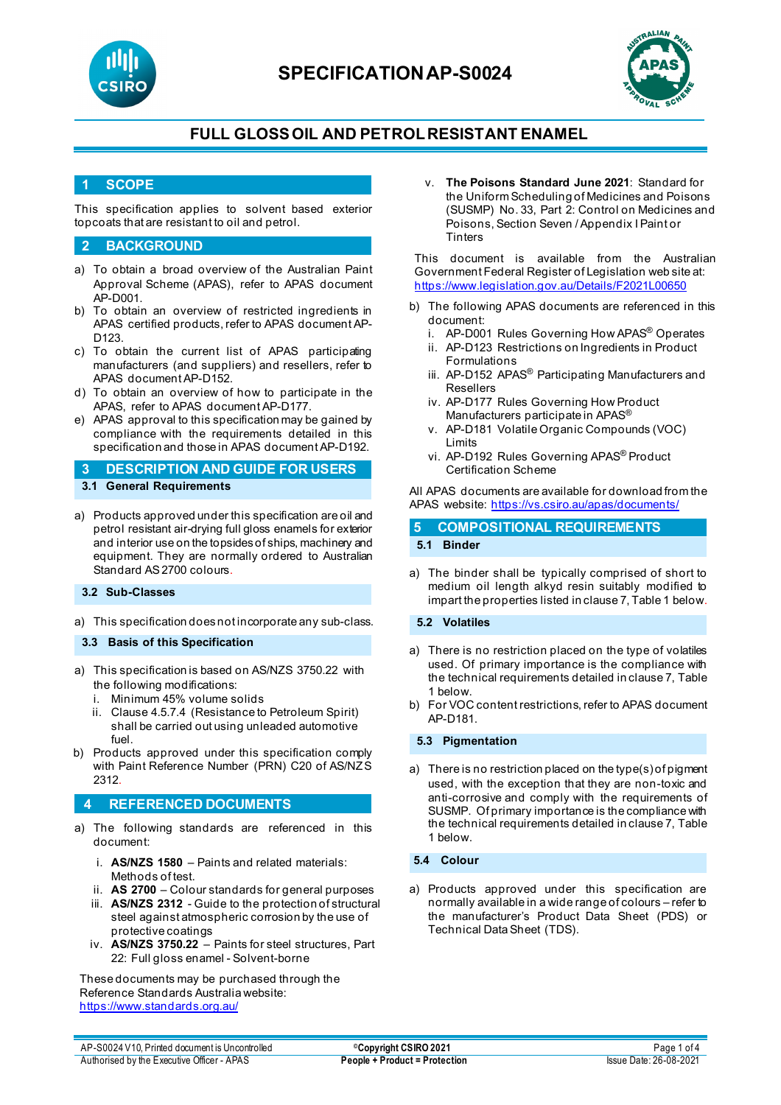

## **SPECIFICATIONAP-S0024**



### **FULL GLOSSOIL AND PETROLRESISTANT ENAMEL**

### **1 SCOPE**

This specification applies to solvent based exterior topcoats that are resistant to oil and petrol.

### **2 BACKGROUND**

- a) To obtain a broad overview of the Australian Paint Approval Scheme (APAS), refer to APAS document AP-D001.
- b) To obtain an overview of restricted ingredients in APAS certified products, refer to APAS document AP-D123.
- c) To obtain the current list of APAS participating manufacturers (and suppliers) and resellers, refer to APAS document AP-D152.
- d) To obtain an overview of how to participate in the APAS, refer to APAS document AP-D177.
- e) APAS approval to this specification may be gained by compliance with the requirements detailed in this specification and those in APAS document AP-D192.
- **3 DESCRIPTION AND GUIDE FOR USERS 3.1 General Requirements**
- a) Products approved under this specification are oil and petrol resistant air-drying full gloss enamels for exterior and interior use on the topsides of ships, machinery and equipment. They are normally ordered to Australian Standard AS 2700 colours.

### **3.2 Sub-Classes**

a) This specification does not incorporate any sub-class.

#### **3.3 Basis of this Specification**

- a) This specification is based on AS/NZS 3750.22 with the following modifications:
	- Minimum 45% volume solids
	- ii. Clause 4.5.7.4 (Resistance to Petroleum Spirit) shall be carried out using unleaded automotive fuel.
- b) Products approved under this specification comply with Paint Reference Number (PRN) C20 of AS/NZS 2312.

### **4 REFERENCED DOCUMENTS**

- a) The following standards are referenced in this document:
	- i. **AS/NZS 1580** Paints and related materials: Methods of test.
	- ii. **AS 2700**  Colour standards for general purposes
	- iii. **AS/NZS 2312** Guide to the protection of structural steel against atmospheric corrosion by the use of protective coatings
	- iv. **AS/NZS 3750.22** Paints for steel structures, Part 22: Full gloss enamel - Solvent-borne

These documents may be purchased through the Reference Standards Australia website: <https://www.standards.org.au/>

v. **The Poisons Standard June 2021**: Standard for the Uniform Scheduling of Medicines and Poisons (SUSMP) No. 33, Part 2: Control on Medicines and Poisons, Section Seven / Appendix I Paint or **Tinters** 

This document is available from the Australian Government Federal Register of Legislation web site at: <https://www.legislation.gov.au/Details/F2021L00650>

- b) The following APAS documents are referenced in this document:
	- i. AP-D001 Rules Governing How APAS® Operates
	- ii. AP-D123 Restrictions on Ingredients in Product Formulations
	- iii. AP-D152 APAS<sup>®</sup> Participating Manufacturers and Resellers
	- iv. AP-D177 Rules Governing How Product Manufacturers participate in APAS®
	- v. AP-D181 Volatile Organic Compounds (VOC) Limits
	- vi. AP-D192 Rules Governing APAS® Product Certification Scheme

All APAS documents are available for download from the APAS website: <https://vs.csiro.au/apas/documents/>

# **5 COMPOSITIONAL REQUIREMENTS**

a) The binder shall be typically comprised of short to medium oil length alkyd resin suitably modified to impart the properties listed in clause 7, Table 1 below.

#### **5.2 Volatiles**

- a) There is no restriction placed on the type of volatiles used. Of primary importance is the compliance with the technical requirements detailed in clause 7, Table 1 below.
- b) For VOC content restrictions, refer to APAS document AP-D181.

#### **5.3 Pigmentation**

a) There is no restriction placed on the type(s) of pigment used, with the exception that they are non-toxic and anti-corrosive and comply with the requirements of SUSMP. Of primary importance is the compliance with the technical requirements detailed in clause 7, Table 1 below.

#### **5.4 Colour**

a) Products approved under this specification are normally available in a wide range of colours – refer to the manufacturer's Product Data Sheet (PDS) or Technical Data Sheet (TDS).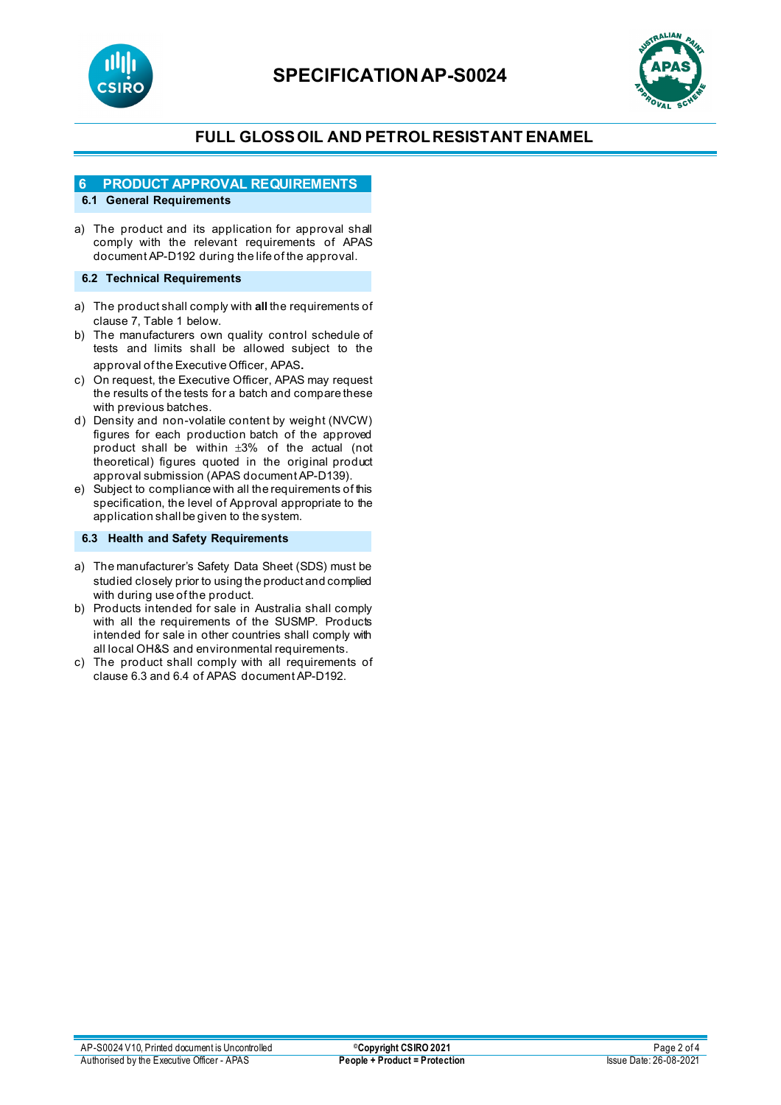



### **FULL GLOSSOIL AND PETROLRESISTANT ENAMEL**

### **6 PRODUCT APPROVAL REQUIREMENTS**

### **6.1 General Requirements**

a) The product and its application for approval shall comply with the relevant requirements of APAS document AP-D192 during the life of the approval.

#### **6.2 Technical Requirements**

- a) The product shall comply with **all** the requirements of clause 7, Table 1 below.
- b) The manufacturers own quality control schedule of tests and limits shall be allowed subject to the approval of the Executive Officer, APAS.
- c) On request, the Executive Officer, APAS may request the results of the tests for a batch and compare these with previous batches.
- d) Density and non-volatile content by weight (NVCW) figures for each production batch of the approved product shall be within ±3% of the actual (not theoretical) figures quoted in the original product approval submission (APAS document AP-D139).
- e) Subject to compliance with all the requirements of this specification, the level of Approval appropriate to the application shall be given to the system.

#### **6.3 Health and Safety Requirements**

- a) The manufacturer's Safety Data Sheet (SDS) must be studied closely prior to using the product and complied with during use of the product.
- b) Products intended for sale in Australia shall comply with all the requirements of the SUSMP. Products intended for sale in other countries shall comply with all local OH&S and environmental requirements.
- c) The product shall comply with all requirements of clause 6.3 and 6.4 of APAS document AP-D192.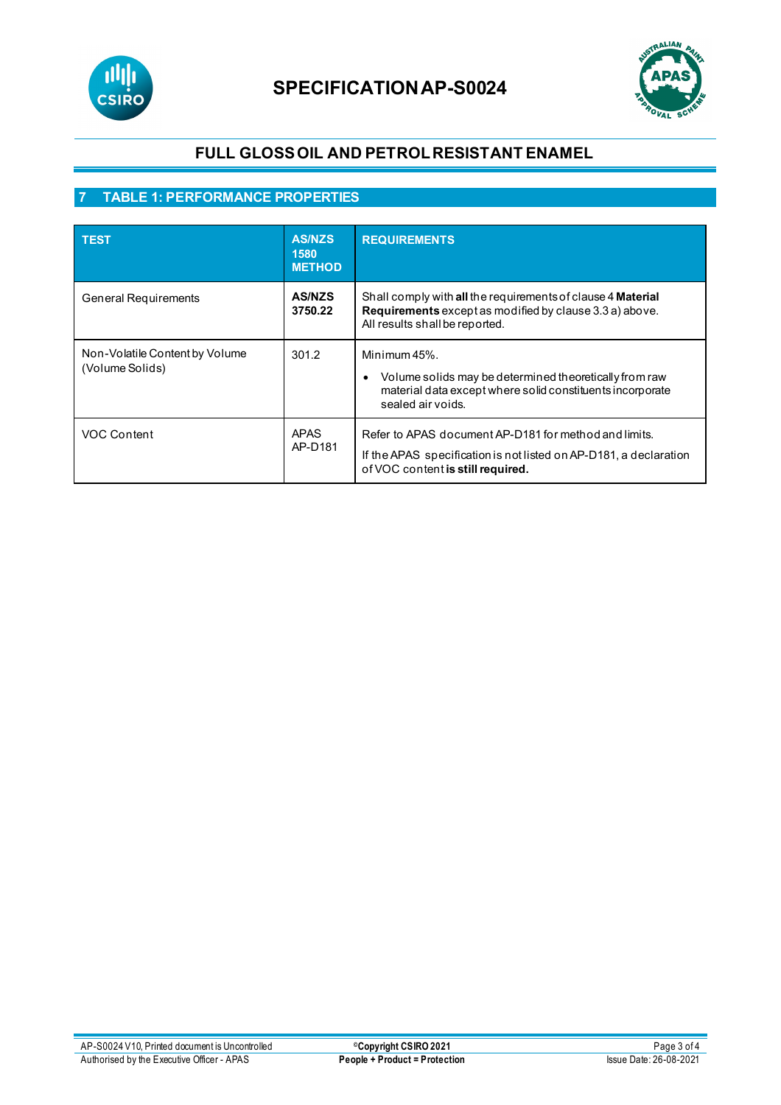



### **FULL GLOSSOIL AND PETROLRESISTANT ENAMEL**

### **7 TABLE 1: PERFORMANCE PROPERTIES**

| <b>TEST</b>                                       | <b>AS/NZS</b><br>1580<br><b>METHOD</b> | <b>REQUIREMENTS</b>                                                                                                                                             |  |
|---------------------------------------------------|----------------------------------------|-----------------------------------------------------------------------------------------------------------------------------------------------------------------|--|
| <b>General Requirements</b>                       | <b>AS/NZS</b><br>3750.22               | Shall comply with all the requirements of clause 4 Material<br>Requirements except as modified by clause 3.3 a) above.<br>All results shall be reported.        |  |
| Non-Volatile Content by Volume<br>(Volume Solids) | 301.2                                  | Minimum 45%.<br>Volume solids may be determined theoretically from raw<br>material data except where solid constituents incorporate<br>sealed air voids.        |  |
| VOC Content                                       | <b>APAS</b><br>AP-D181                 | Refer to APAS document AP-D181 for method and limits.<br>If the APAS specification is not listed on AP-D181, a declaration<br>of VOC content is still required. |  |